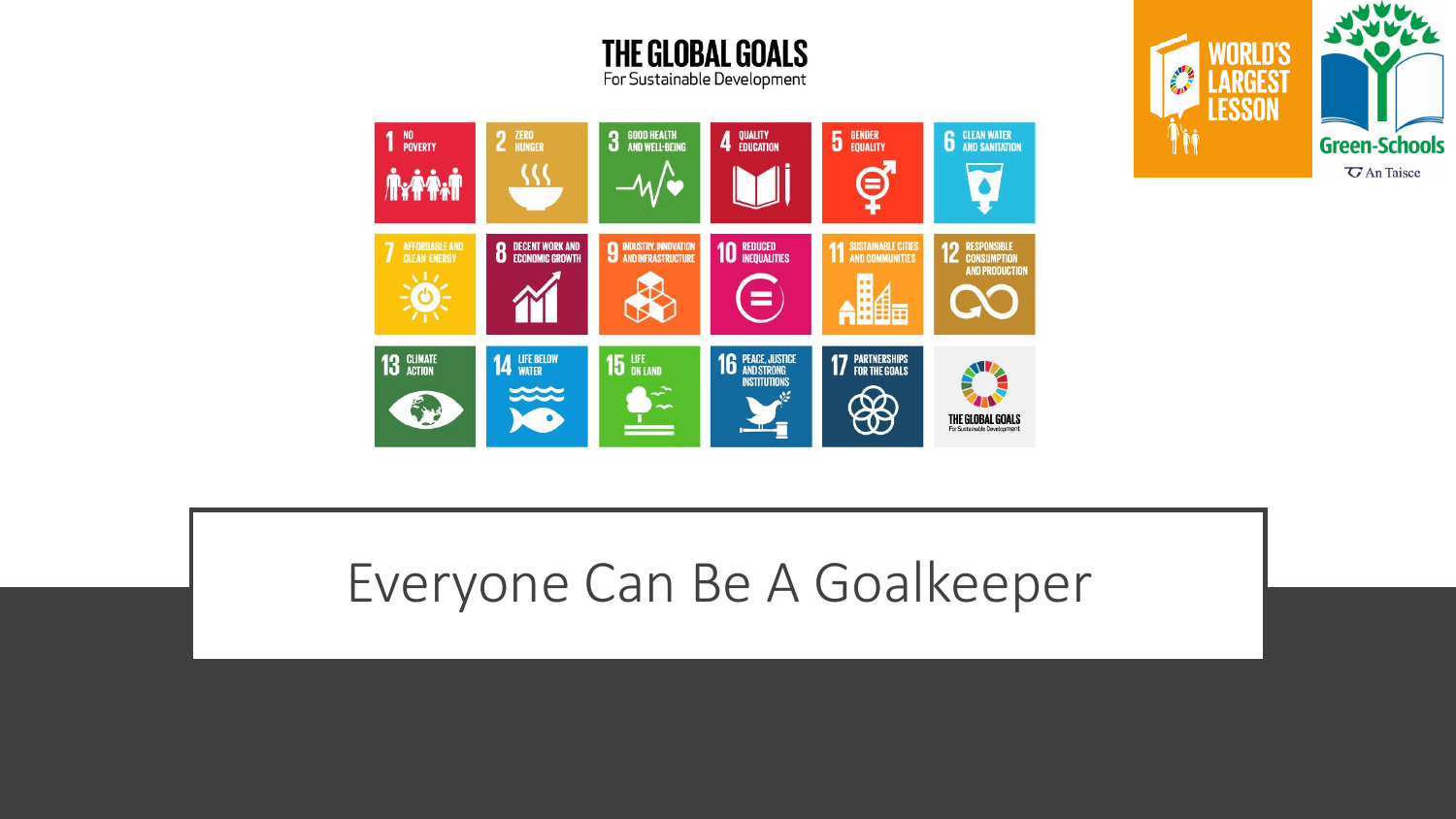



**THE GLOBAL GOALS** 

### Everyone Can Be A Goalkeeper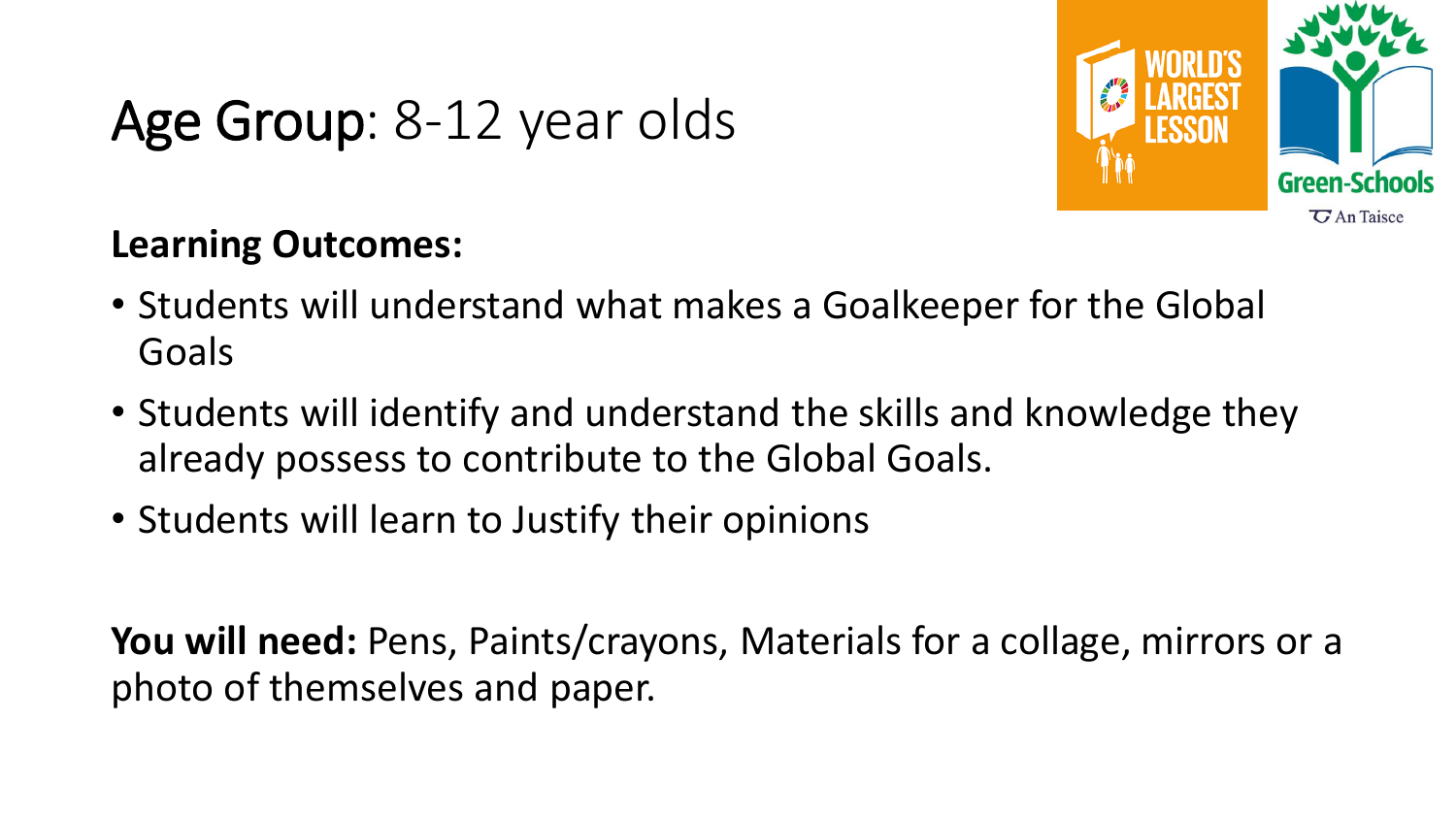## Age Group: 8-12 year olds



#### **Learning Outcomes:**

- Students will understand what makes a Goalkeeper for the Global Goals
- Students will identify and understand the skills and knowledge they already possess to contribute to the Global Goals.
- Students will learn to Justify their opinions

**You will need:** Pens, Paints/crayons, Materials for a collage, mirrors or a photo of themselves and paper.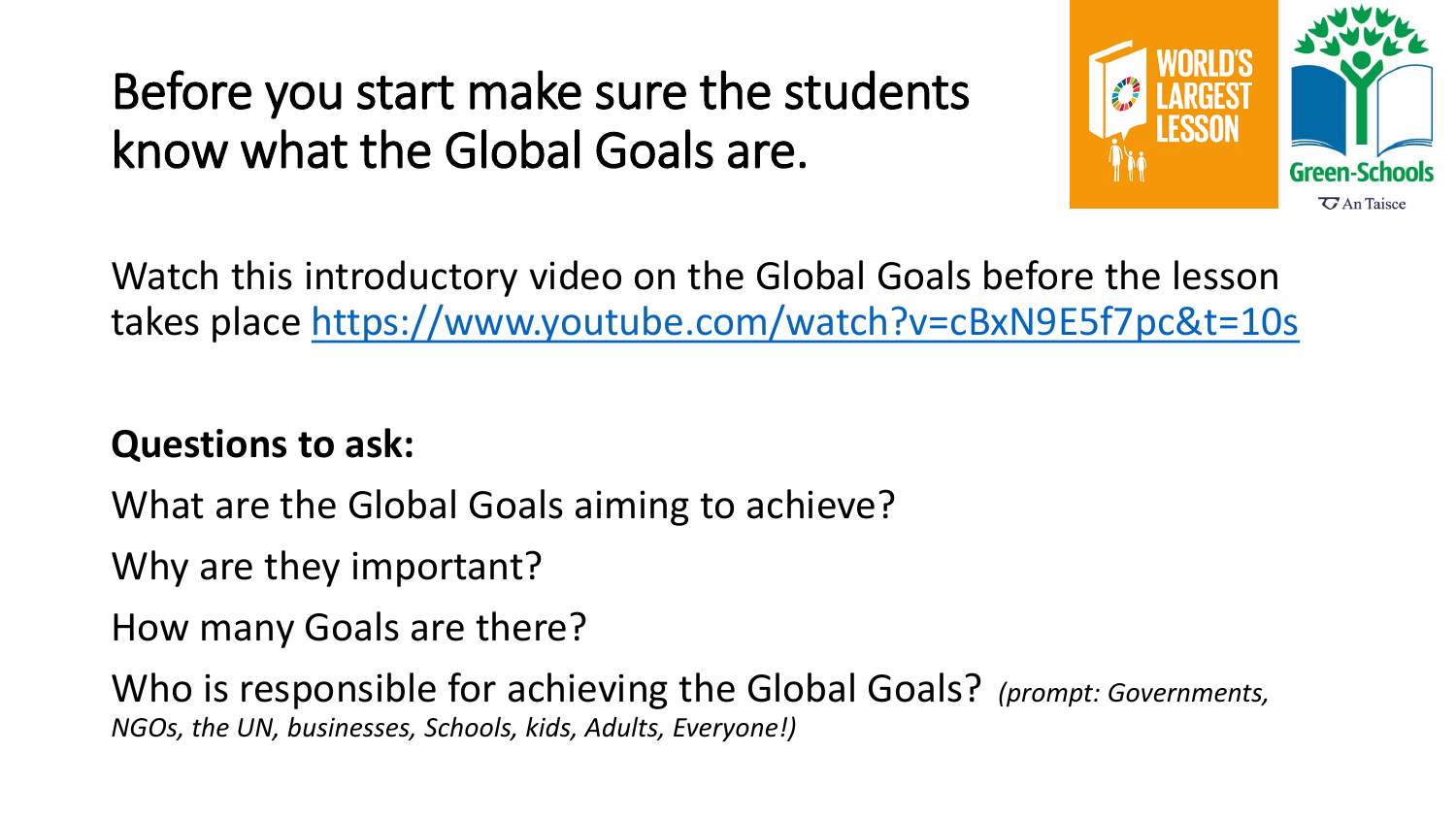### Before you start make sure the students know what the Global Goals are.



Watch this introductory video on the Global Goals before the lesson takes place<https://www.youtube.com/watch?v=cBxN9E5f7pc&t=10s>

**Questions to ask:**

What are the Global Goals aiming to achieve?

Why are they important?

How many Goals are there?

Who is responsible for achieving the Global Goals? *(prompt: Governments, NGOs, the UN, businesses, Schools, kids, Adults, Everyone!)*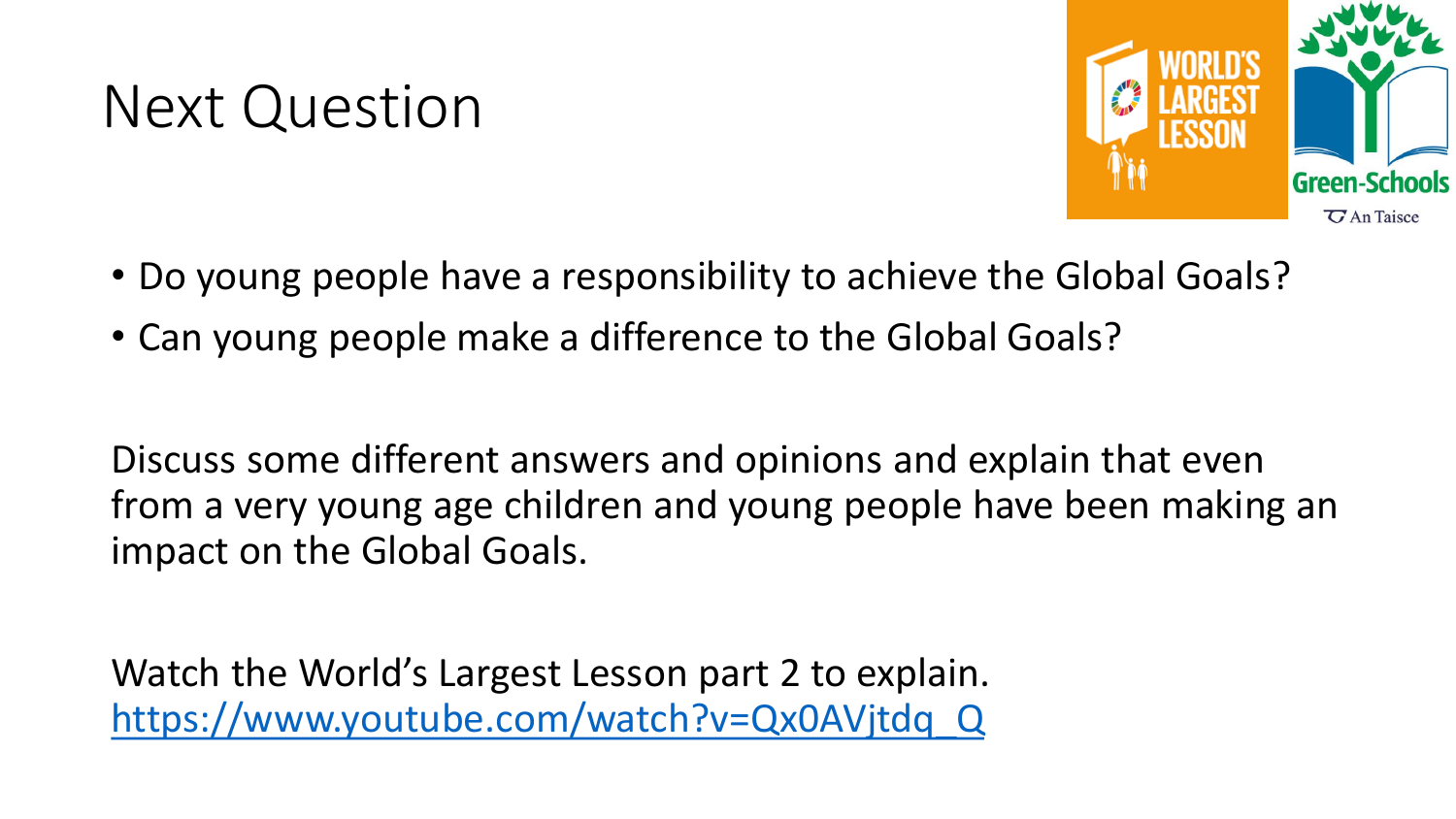## Next Question



- Do young people have a responsibility to achieve the Global Goals?
- Can young people make a difference to the Global Goals?

Discuss some different answers and opinions and explain that even from a very young age children and young people have been making an impact on the Global Goals.

Watch the World's Largest Lesson part 2 to explain. [https://www.youtube.com/watch?v=Qx0AVjtdq\\_Q](https://www.youtube.com/watch?v=Qx0AVjtdq_Q)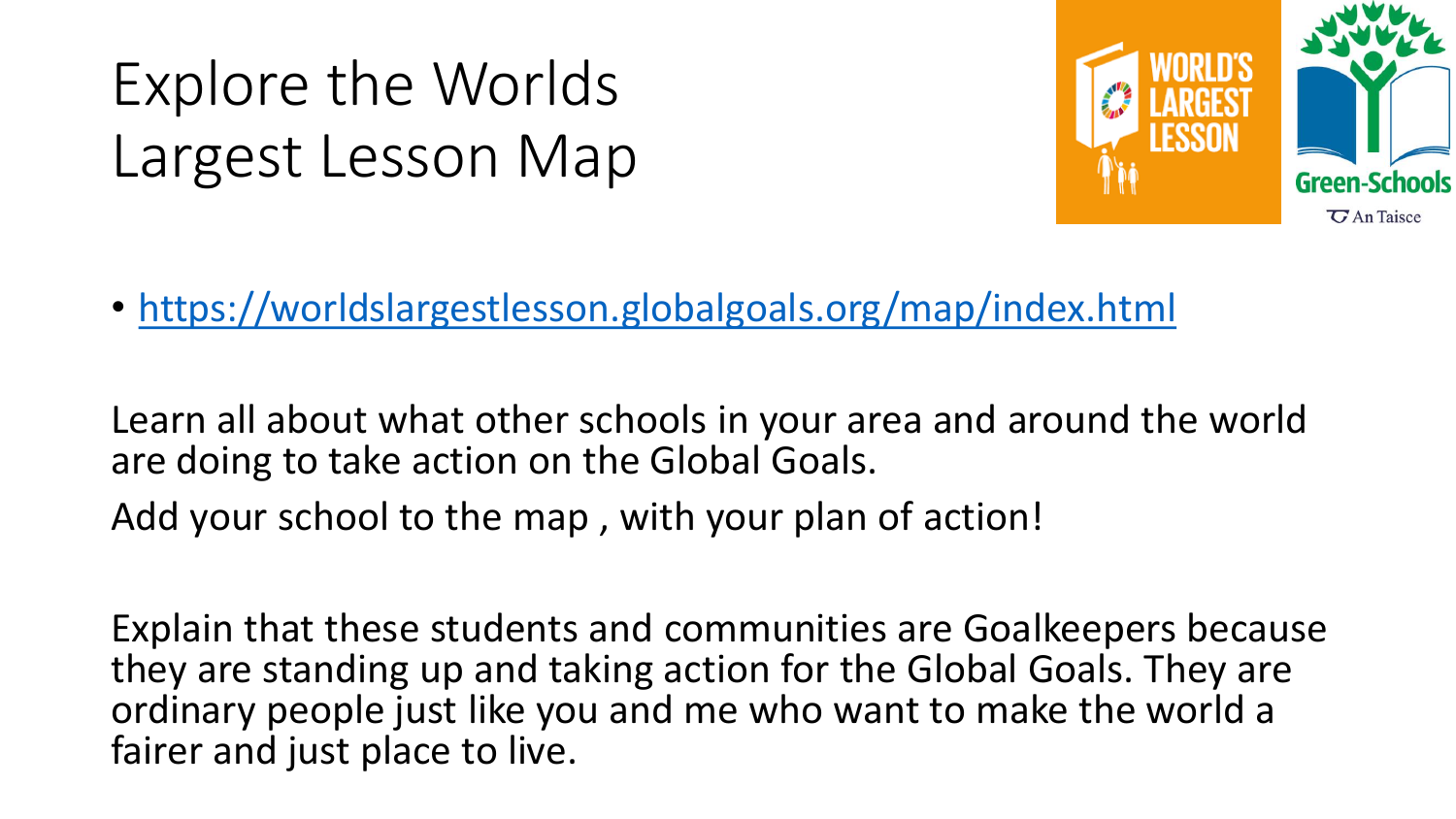Explore the Worlds Largest Lesson Map



• <https://worldslargestlesson.globalgoals.org/map/index.html>

Learn all about what other schools in your area and around the world are doing to take action on the Global Goals.

Add your school to the map , with your plan of action!

Explain that these students and communities are Goalkeepers because they are standing up and taking action for the Global Goals. They are ordinary people just like you and me who want to make the world a fairer and just place to live.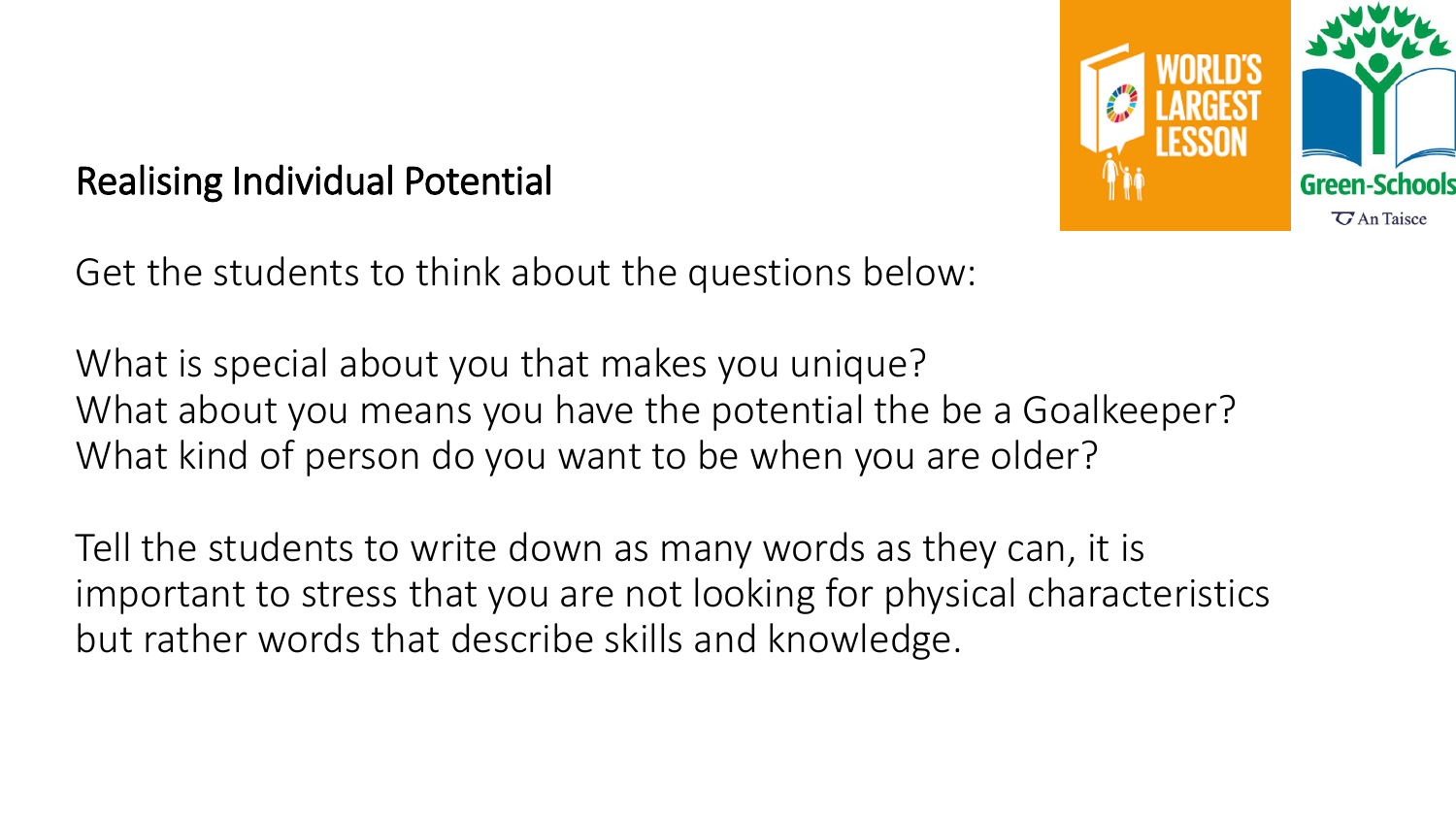

#### Realising Individual Potential

Get the students to think about the questions below:

What is special about you that makes you unique? What about you means you have the potential the be a Goalkeeper? What kind of person do you want to be when you are older?

Tell the students to write down as many words as they can, it is important to stress that you are not looking for physical characteristics but rather words that describe skills and knowledge.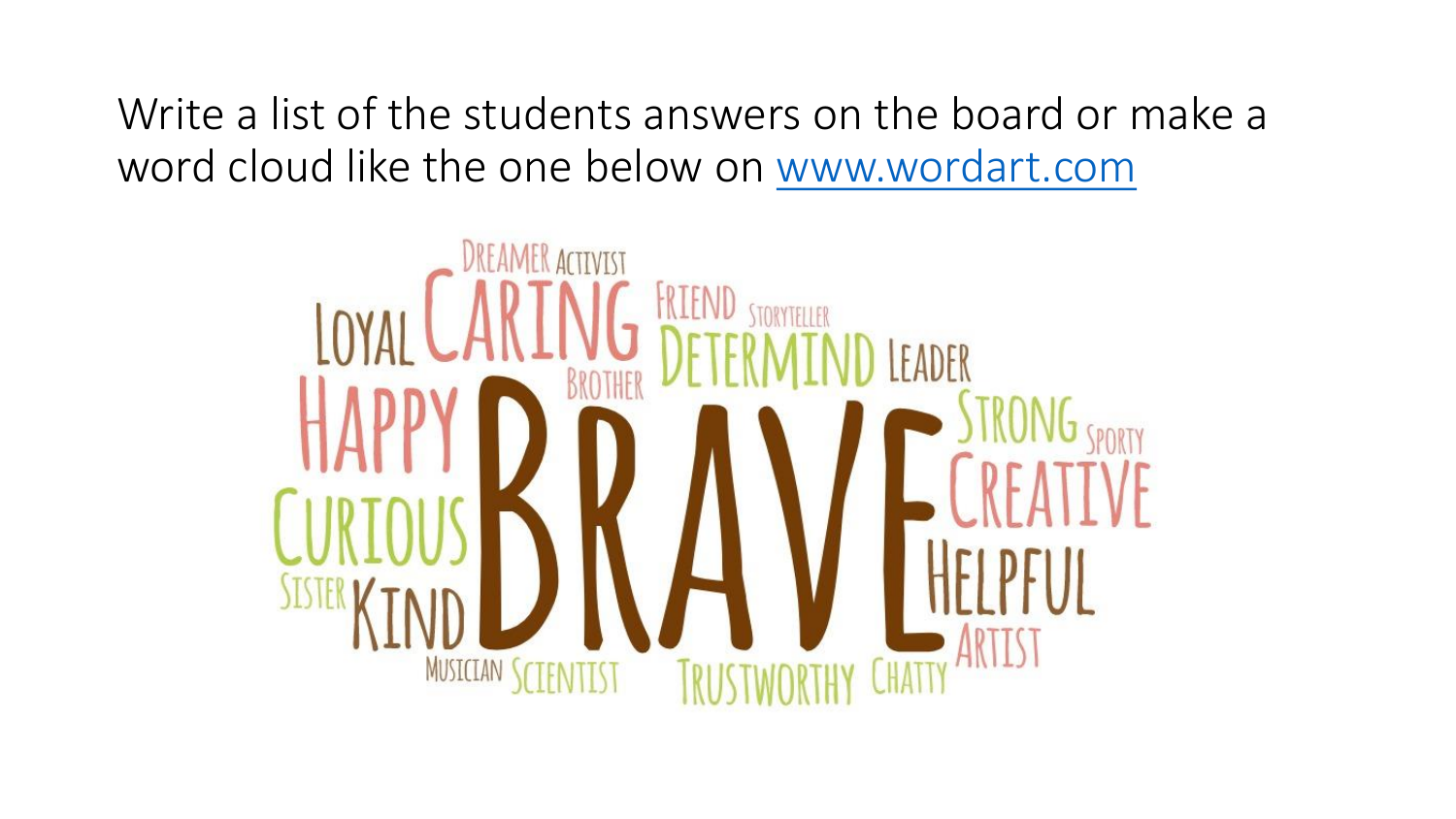Write a list of the students answers on the board or make a word cloud like the one below on [www.wordart.com](http://www.wordart.com/)

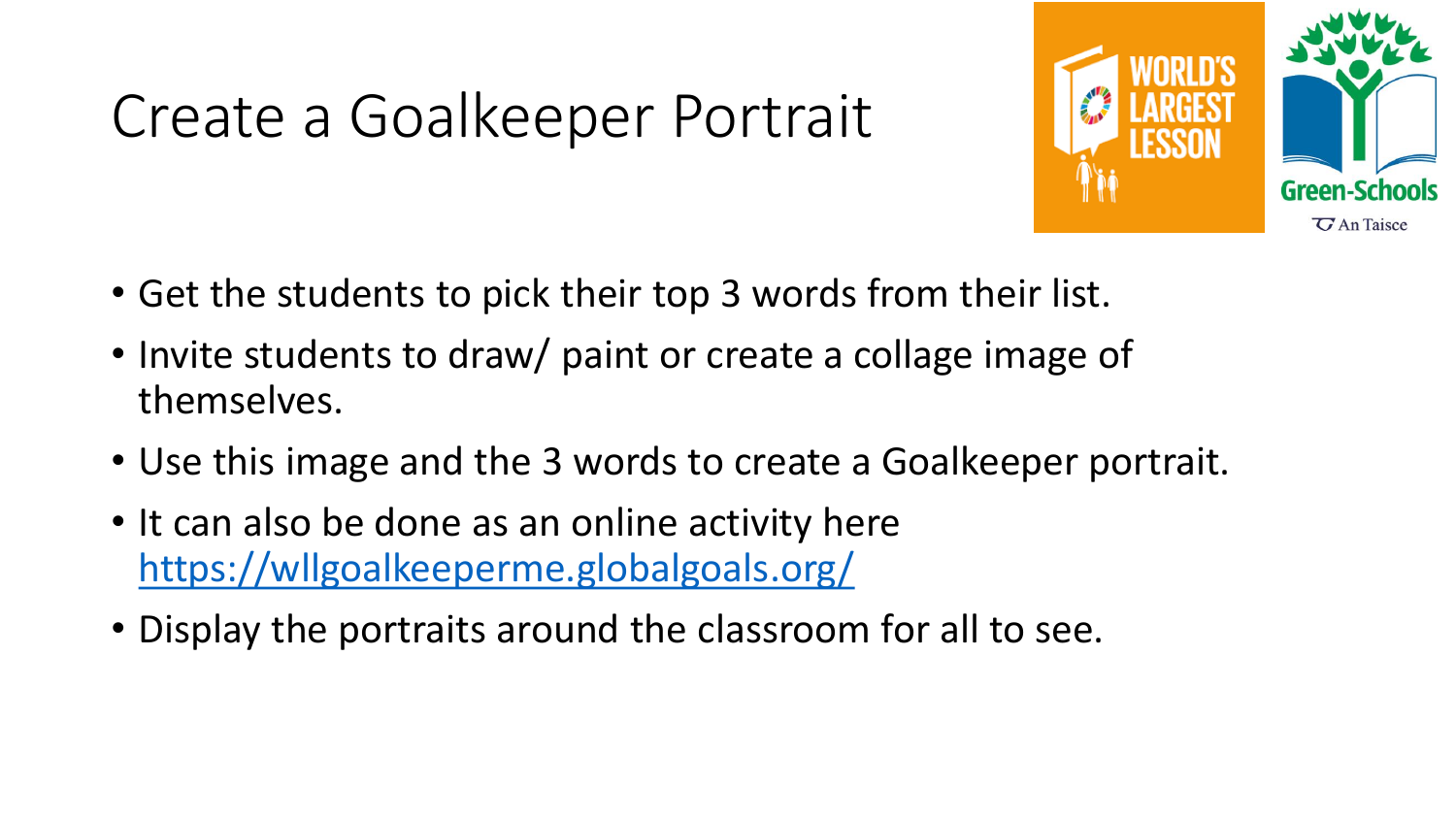## Create a Goalkeeper Portrait



- Get the students to pick their top 3 words from their list.
- Invite students to draw/ paint or create a collage image of themselves.
- Use this image and the 3 words to create a Goalkeeper portrait.
- It can also be done as an online activity here <https://wllgoalkeeperme.globalgoals.org/>
- Display the portraits around the classroom for all to see.